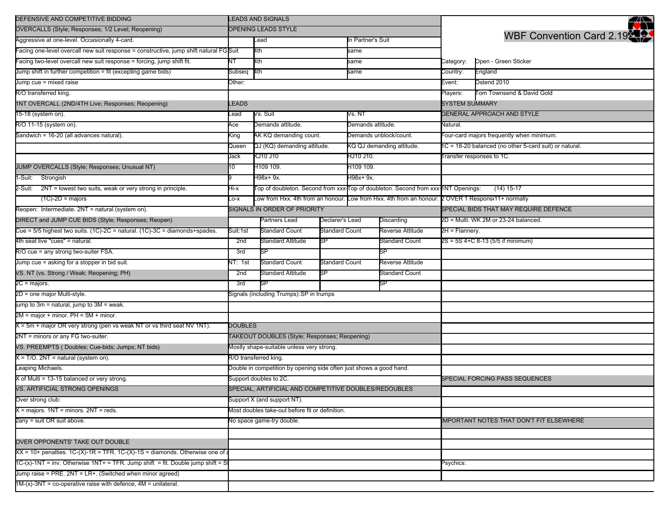| DEFENSIVE AND COMPETITIVE BIDDING                                                         | <b>LEADS AND SIGNALS</b>                                            |                                                                                                   |                                                                                   |                           |                                      |                                                        | ◢▓                                              |  |
|-------------------------------------------------------------------------------------------|---------------------------------------------------------------------|---------------------------------------------------------------------------------------------------|-----------------------------------------------------------------------------------|---------------------------|--------------------------------------|--------------------------------------------------------|-------------------------------------------------|--|
| OVERCALLS (Style; Responses; 1/2 Level; Reopening)                                        | OPENING LEADS STYLE                                                 |                                                                                                   |                                                                                   |                           |                                      |                                                        |                                                 |  |
| Aggressive at one-level. Occasionally 4-card.                                             |                                                                     | Lead                                                                                              |                                                                                   |                           | In Partner's Suit                    |                                                        | <b>WBF Convention Card 2.19</b>                 |  |
| acing one-level overcall new suit response = constructive, jump shift natural FG Suit     |                                                                     | 4th                                                                                               |                                                                                   | same                      |                                      |                                                        |                                                 |  |
| acing two-level overcall new suit response = forcing, jump shift fit.                     | NT                                                                  | 4th                                                                                               |                                                                                   | same                      |                                      | Category:                                              | Open - Green Sticker                            |  |
| Jump shift in further competition = fit (excepting game bids)                             | Subseq                                                              | 4th                                                                                               |                                                                                   | same                      |                                      | Country:                                               | England                                         |  |
| Jump cue = mixed raise                                                                    | Other:                                                              |                                                                                                   |                                                                                   |                           |                                      | Event:                                                 | Ostend 2010                                     |  |
| R/O transferred king.                                                                     |                                                                     |                                                                                                   |                                                                                   |                           |                                      | Players:                                               | Tom Townsend & David Gold                       |  |
| 1NT OVERCALL (2ND/4TH Live; Responses; Reopening)                                         | EADS.                                                               |                                                                                                   |                                                                                   |                           |                                      | <b>SYSTEM SUMMARY</b>                                  |                                                 |  |
| 15-18 (system on).                                                                        | .ead                                                                | Vs. Suit                                                                                          |                                                                                   | Vs. NT                    |                                      | <b>GENERAL APPROACH AND STYLE</b>                      |                                                 |  |
| R/O 11-15 (system on).                                                                    | Ace                                                                 | Demands attitude.                                                                                 |                                                                                   | Demands attitude.         |                                      | Natural.                                               |                                                 |  |
| Sandwich = 16-20 (all advances natural).                                                  | King                                                                | AK KQ demanding count.                                                                            |                                                                                   | Demands unblock/count.    |                                      | our-card majors frequently when minimum.               |                                                 |  |
|                                                                                           | Queen                                                               | QJ (KQ) demanding attitude.                                                                       |                                                                                   | KQ QJ demanding attitude. |                                      | 1C = 18-20 balanced (no other 5-card suit) or natural. |                                                 |  |
|                                                                                           | Jack                                                                | KJ10 J10                                                                                          |                                                                                   | HJ10 J10.                 |                                      | ransfer responses to 1C.                               |                                                 |  |
| JUMP OVERCALLS (Style; Responses; Unusual NT)                                             | 10                                                                  | H109 109.                                                                                         |                                                                                   | H <sub>109</sub> 109.     |                                      |                                                        |                                                 |  |
| 1-Suit: Strongish                                                                         |                                                                     | H98x+ 9x.                                                                                         |                                                                                   | H98x+ 9x.                 |                                      |                                                        |                                                 |  |
| 2-Suit: 2NT = lowest two suits, weak or very strong in principle.                         | Hi-x                                                                |                                                                                                   | Top of doubleton. Second from xxx Top of doubleton. Second from xxx 1NT Openings: |                           |                                      |                                                        | $(14)$ 15-17                                    |  |
| $(1C)-2D =$ majors                                                                        | $-0-X$                                                              | Low from Hxx. 4th from an honour. Low from Hxx. 4th from an honour. 2 OVER 1 Respons(11+ normally |                                                                                   |                           |                                      |                                                        |                                                 |  |
| Reopen: Intermediate. 2NT = natural (system on).                                          |                                                                     | SIGNALS IN ORDER OF PRIORITY                                                                      |                                                                                   |                           |                                      |                                                        | SPECIAL BIDS THAT MAY REQUIRE DEFENCE           |  |
| DIRECT and JUMP CUE BIDS (Style; Responses; Reopen)                                       |                                                                     | Declarer's Lead<br>Partners Lead<br>Discarding                                                    |                                                                                   |                           | 2D = Multi: WK 2M or 23-24 balanced. |                                                        |                                                 |  |
| Cue = 5/5 highest two suits. (1C)-2C = natural. (1C)-3C = diamonds+spades.                | Suit:1st                                                            | <b>Standard Count</b>                                                                             | Standard Count                                                                    |                           | Reverse Attitude                     | 2H = Flannery.                                         |                                                 |  |
| 4th seat live "cues" = natural.                                                           | 2nd                                                                 | <b>Standard Attitude</b>                                                                          | SP                                                                                |                           | <b>Standard Count</b>                |                                                        | 2S = 5S 4+C 8-13 (5/5 if minimum)               |  |
| R/O cue = any strong two-suiter FSA.                                                      | 3rd                                                                 | $\overline{\text{SP}}$                                                                            |                                                                                   |                           | SP                                   |                                                        |                                                 |  |
| Jump cue = asking for a stopper in bid suit.                                              | NT: 1st                                                             | Standard Count                                                                                    | Standard Count                                                                    |                           | Reverse Attitude                     |                                                        |                                                 |  |
| VS. NT (vs. Strong / Weak; Reopening; PH)                                                 | 2nd                                                                 | Standard Attitude                                                                                 | SP.                                                                               |                           | Standard Count                       |                                                        |                                                 |  |
| 2C = majors.                                                                              | 3rd                                                                 | SP                                                                                                |                                                                                   |                           | SP                                   |                                                        |                                                 |  |
| 2D = one major Multi-style.                                                               | Signals (including Trumps): SP in trumps                            |                                                                                                   |                                                                                   |                           |                                      |                                                        |                                                 |  |
| jump to 3m = natural, jump to 3M = weak.                                                  |                                                                     |                                                                                                   |                                                                                   |                           |                                      |                                                        |                                                 |  |
| $2M =$ major + minor. PH = 5M + minor.                                                    |                                                                     |                                                                                                   |                                                                                   |                           |                                      |                                                        |                                                 |  |
| $X = 5m +$ major OR very strong (pen vs weak NT or vs third seat NV 1NT).                 | <b>DOUBLES</b>                                                      |                                                                                                   |                                                                                   |                           |                                      |                                                        |                                                 |  |
| 2NT = minors or any FG two-suiter.                                                        | TAKEOUT DOUBLES (Style; Responses; Reopening)                       |                                                                                                   |                                                                                   |                           |                                      |                                                        |                                                 |  |
| VS. PREEMPTS (Doubles; Cue-bids; Jumps; NT bids)                                          | Mostly shape-suitable unless very strong.                           |                                                                                                   |                                                                                   |                           |                                      |                                                        |                                                 |  |
| $X = T/O$ . 2NT = natural (system on).                                                    | R/O transferred king.                                               |                                                                                                   |                                                                                   |                           |                                      |                                                        |                                                 |  |
| Leaping Michaels.                                                                         | Double in competition by opening side often just shows a good hand. |                                                                                                   |                                                                                   |                           |                                      |                                                        |                                                 |  |
| $X$ of Multi = 13-15 balanced or very strong.                                             | Support doubles to 2C.                                              |                                                                                                   |                                                                                   |                           |                                      |                                                        | SPECIAL FORCING PASS SEQUENCES                  |  |
| VS. ARTIFICIAL STRONG OPENINGS                                                            | SPECIAL, ARTIFICIAL AND COMPETITIVE DOUBLES/REDOUBLES               |                                                                                                   |                                                                                   |                           |                                      |                                                        |                                                 |  |
| Over strong club:                                                                         | Support X (and support NT).                                         |                                                                                                   |                                                                                   |                           |                                      |                                                        |                                                 |  |
| $X =$ majors. 1NT = minors. 2NT = reds.                                                   | lost doubles take-out before fit or definition.                     |                                                                                                   |                                                                                   |                           |                                      |                                                        |                                                 |  |
| 2any = suit OR suit above.                                                                | No space game-try double.                                           |                                                                                                   |                                                                                   |                           |                                      |                                                        | <b>IMPORTANT NOTES THAT DON'T FIT ELSEWHERE</b> |  |
|                                                                                           |                                                                     |                                                                                                   |                                                                                   |                           |                                      |                                                        |                                                 |  |
| OVER OPPONENTS' TAKE OUT DOUBLE                                                           |                                                                     |                                                                                                   |                                                                                   |                           |                                      |                                                        |                                                 |  |
| $XX = 10+$ penalties. $1C-(X)-1R = TFR$ . $1C-(X)-1S =$ diamonds. Otherwise one of a      |                                                                     |                                                                                                   |                                                                                   |                           |                                      |                                                        |                                                 |  |
| $1C-(x)-1NT = inv$ . Otherwise $1NT + TFR$ . Jump shift $= fit$ . Double jump shift $= S$ |                                                                     |                                                                                                   |                                                                                   |                           |                                      | Psychics:                                              |                                                 |  |
| Jump raise = PRE. $2NT = LR +$ . (Switched when minor agreed)                             |                                                                     |                                                                                                   |                                                                                   |                           |                                      |                                                        |                                                 |  |
| $1M-(x)-3NT = co-operative$ raise with defence, $4M =$ unilateral.                        |                                                                     |                                                                                                   |                                                                                   |                           |                                      |                                                        |                                                 |  |